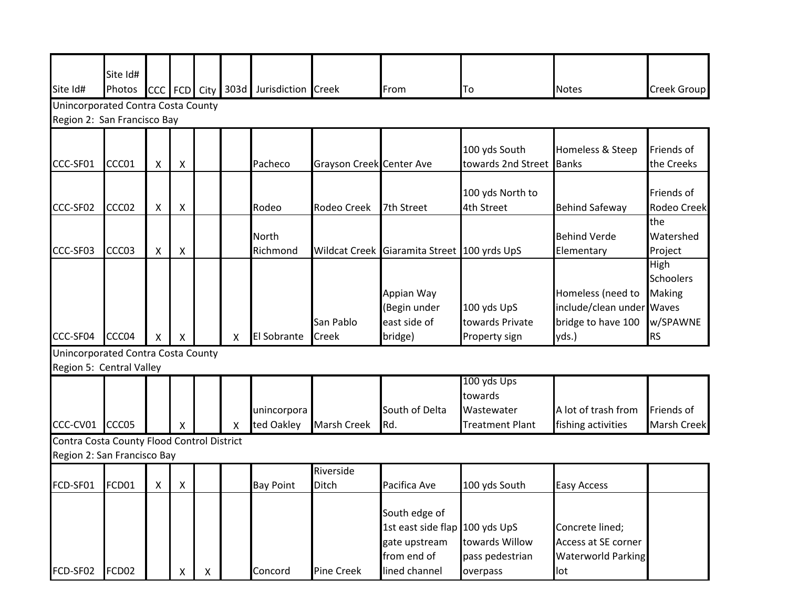| Site Id#                                   | Site Id#<br>Photos |   | CCC FCD | City |   | 303d Jurisdiction Creek |                          | From                                        | To                       | <b>Notes</b>              | Creek Group      |
|--------------------------------------------|--------------------|---|---------|------|---|-------------------------|--------------------------|---------------------------------------------|--------------------------|---------------------------|------------------|
| Unincorporated Contra Costa County         |                    |   |         |      |   |                         |                          |                                             |                          |                           |                  |
| Region 2: San Francisco Bay                |                    |   |         |      |   |                         |                          |                                             |                          |                           |                  |
|                                            |                    |   |         |      |   |                         |                          |                                             |                          |                           |                  |
|                                            |                    |   |         |      |   |                         |                          |                                             | 100 yds South            | Homeless & Steep          | Friends of       |
| CCC-SF01                                   | CCC01              | X | Χ       |      |   | Pacheco                 | Grayson Creek Center Ave |                                             | towards 2nd Street Banks |                           | the Creeks       |
|                                            |                    |   |         |      |   |                         |                          |                                             |                          |                           |                  |
|                                            |                    |   |         |      |   |                         |                          |                                             | 100 yds North to         |                           | Friends of       |
| CCC-SF02                                   | CCC <sub>02</sub>  | X | Χ       |      |   | Rodeo                   | Rodeo Creek              | 7th Street                                  | 4th Street               | <b>Behind Safeway</b>     | Rodeo Creek      |
|                                            |                    |   |         |      |   |                         |                          |                                             |                          |                           | the              |
|                                            |                    |   |         |      |   | North                   |                          |                                             |                          | <b>Behind Verde</b>       | Watershed        |
| CCC-SF03                                   | CCC <sub>03</sub>  | X | х       |      |   | Richmond                |                          | Wildcat Creek Giaramita Street 100 yrds UpS |                          | Elementary                | Project          |
|                                            |                    |   |         |      |   |                         |                          |                                             |                          |                           | High             |
|                                            |                    |   |         |      |   |                         |                          |                                             |                          |                           | <b>Schoolers</b> |
|                                            |                    |   |         |      |   |                         |                          | Appian Way                                  |                          | Homeless (need to         | Making           |
|                                            |                    |   |         |      |   |                         |                          | (Begin under                                | 100 yds UpS              | include/clean under Waves |                  |
|                                            |                    |   |         |      |   |                         | San Pablo                | east side of                                | towards Private          | bridge to have 100        | w/SPAWNE         |
| CCC-SF04                                   | CCC04              | X | x       |      | X | <b>El Sobrante</b>      | Creek                    | bridge)                                     | Property sign            | yds.)                     | <b>RS</b>        |
| Unincorporated Contra Costa County         |                    |   |         |      |   |                         |                          |                                             |                          |                           |                  |
| Region 5: Central Valley                   |                    |   |         |      |   |                         |                          |                                             |                          |                           |                  |
|                                            |                    |   |         |      |   |                         |                          |                                             | 100 yds Ups              |                           |                  |
|                                            |                    |   |         |      |   |                         |                          |                                             | towards                  |                           |                  |
|                                            |                    |   |         |      |   | unincorpora             |                          | South of Delta                              | Wastewater               | A lot of trash from       | Friends of       |
| CCC-CV01                                   | CCC05              |   | X       |      | x | ted Oakley              | Marsh Creek              | Rd.                                         | <b>Treatment Plant</b>   | fishing activities        | Marsh Creek      |
| Contra Costa County Flood Control District |                    |   |         |      |   |                         |                          |                                             |                          |                           |                  |
| Region 2: San Francisco Bay                |                    |   |         |      |   |                         |                          |                                             |                          |                           |                  |
|                                            |                    |   |         |      |   |                         | Riverside                |                                             |                          |                           |                  |
| FCD-SF01                                   | FCD01              | X | х       |      |   | <b>Bay Point</b>        | Ditch                    | Pacifica Ave                                | 100 yds South            | <b>Easy Access</b>        |                  |
|                                            |                    |   |         |      |   |                         |                          |                                             |                          |                           |                  |
|                                            |                    |   |         |      |   |                         |                          | South edge of                               |                          |                           |                  |
|                                            |                    |   |         |      |   |                         |                          | 1st east side flap 100 yds UpS              |                          | Concrete lined;           |                  |
|                                            |                    |   |         |      |   |                         |                          | gate upstream                               | towards Willow           | Access at SE corner       |                  |
|                                            |                    |   |         |      |   |                         |                          | from end of                                 | pass pedestrian          | <b>Waterworld Parking</b> |                  |
| FCD-SF02                                   | FCD02              |   |         | X    |   | Concord                 | Pine Creek               | lined channel                               | overpass                 | lot                       |                  |